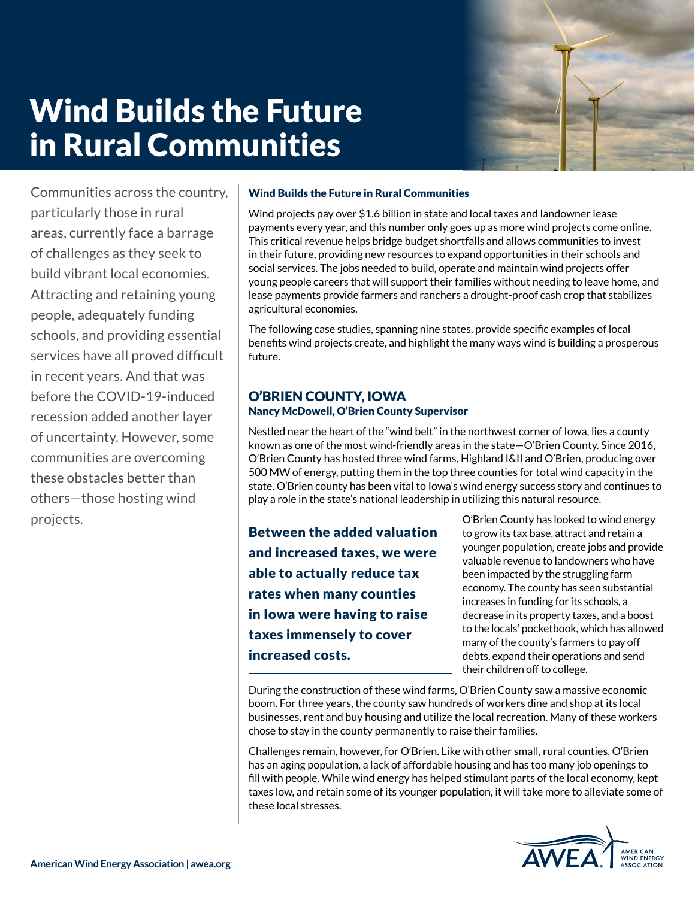# Wind Builds the Future in Rural Communities



Communities across the country, particularly those in rural areas, currently face a barrage of challenges as they seek to build vibrant local economies. Attracting and retaining young people, adequately funding schools, and providing essential services have all proved difficult in recent years. And that was before the COVID-19-induced recession added another layer of uncertainty. However, some communities are overcoming these obstacles better than others—those hosting wind projects.

#### Wind Builds the Future in Rural Communities

Wind projects pay over \$1.6 billion in state and local taxes and landowner lease payments every year, and this number only goes up as more wind projects come online. This critical revenue helps bridge budget shortfalls and allows communities to invest in their future, providing new resources to expand opportunities in their schools and social services. The jobs needed to build, operate and maintain wind projects offer young people careers that will support their families without needing to leave home, and lease payments provide farmers and ranchers a drought-proof cash crop that stabilizes agricultural economies.

The following case studies, spanning nine states, provide specific examples of local benefits wind projects create, and highlight the many ways wind is building a prosperous future.

#### O'BRIEN COUNTY, IOWA Nancy McDowell, O'Brien County Supervisor

Nestled near the heart of the "wind belt" in the northwest corner of Iowa, lies a county known as one of the most wind-friendly areas in the state—O'Brien County. Since 2016, O'Brien County has hosted three wind farms, Highland I&II and O'Brien, producing over 500 MW of energy, putting them in the top three counties for total wind capacity in the state. O'Brien county has been vital to Iowa's wind energy success story and continues to play a role in the state's national leadership in utilizing this natural resource.

Between the added valuation and increased taxes, we were able to actually reduce tax rates when many counties in Iowa were having to raise taxes immensely to cover increased costs.

O'Brien County has looked to wind energy to grow its tax base, attract and retain a younger population, create jobs and provide valuable revenue to landowners who have been impacted by the struggling farm economy. The county has seen substantial increases in funding for its schools, a decrease in its property taxes, and a boost to the locals' pocketbook, which has allowed many of the county's farmers to pay off debts, expand their operations and send their children off to college.

During the construction of these wind farms, O'Brien County saw a massive economic boom. For three years, the county saw hundreds of workers dine and shop at its local businesses, rent and buy housing and utilize the local recreation. Many of these workers chose to stay in the county permanently to raise their families.

Challenges remain, however, for O'Brien. Like with other small, rural counties, O'Brien has an aging population, a lack of affordable housing and has too many job openings to fill with people. While wind energy has helped stimulant parts of the local economy, kept taxes low, and retain some of its younger population, it will take more to alleviate some of these local stresses.

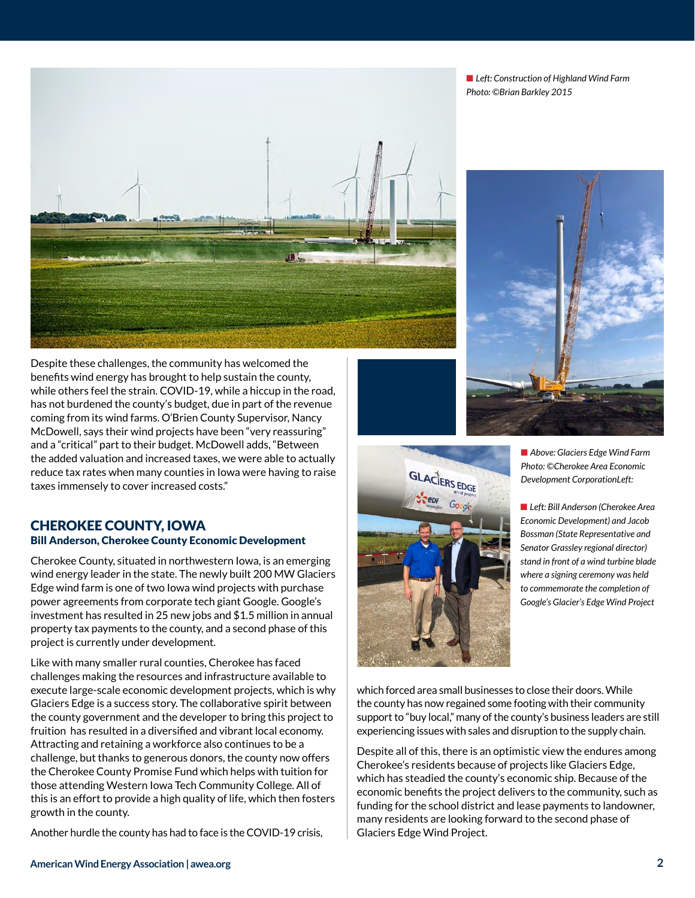■ Left: Construction of Highland Wind Farm *Photo: ©Brian Barkley 2015*



Despite these challenges, the community has welcomed the benefits wind energy has brought to help sustain the county, while others feel the strain. COVID-19, while a hiccup in the road, has not burdened the county's budget, due in part of the revenue coming from its wind farms. O'Brien County Supervisor, Nancy McDowell, says their wind projects have been "very reassuring" and a "critical" part to their budget. McDowell adds, "Between the added valuation and increased taxes, we were able to actually reduce tax rates when many counties in Iowa were having to raise taxes immensely to cover increased costs."

#### CHEROKEE COUNTY, IOWA Bill Anderson, Cherokee County Economic Development

Cherokee County, situated in northwestern Iowa, is an emerging wind energy leader in the state. The newly built 200 MW Glaciers Edge wind farm is one of two Iowa wind projects with purchase power agreements from corporate tech giant Google. Google's investment has resulted in 25 new jobs and \$1.5 million in annual property tax payments to the county, and a second phase of this project is currently under development.

Like with many smaller rural counties, Cherokee has faced challenges making the resources and infrastructure available to execute large-scale economic development projects, which is why Glaciers Edge is a success story. The collaborative spirit between the county government and the developer to bring this project to fruition has resulted in a diversified and vibrant local economy. Attracting and retaining a workforce also continues to be a challenge, but thanks to generous donors, the county now offers the Cherokee County Promise Fund which helps with tuition for those attending Western Iowa Tech Community College. All of this is an effort to provide a high quality of life, which then fosters growth in the county.

Another hurdle the county has had to face is the COVID-19 crisis,





■ Above: Glaciers Edge Wind Farm *Photo: ©Cherokee Area Economic Development CorporationLeft:* 

**n** Left: Bill Anderson (Cherokee Area *Economic Development) and Jacob Bossman (State Representative and Senator Grassley regional director) stand in front of a wind turbine blade where a signing ceremony was held to commemorate the completion of Google's Glacier's Edge Wind Project*

which forced area small businesses to close their doors. While the county has now regained some footing with their community support to "buy local," many of the county's business leaders are still experiencing issues with sales and disruption to the supply chain.

Despite all of this, there is an optimistic view the endures among Cherokee's residents because of projects like Glaciers Edge, which has steadied the county's economic ship. Because of the economic benefits the project delivers to the community, such as funding for the school district and lease payments to landowner, many residents are looking forward to the second phase of Glaciers Edge Wind Project.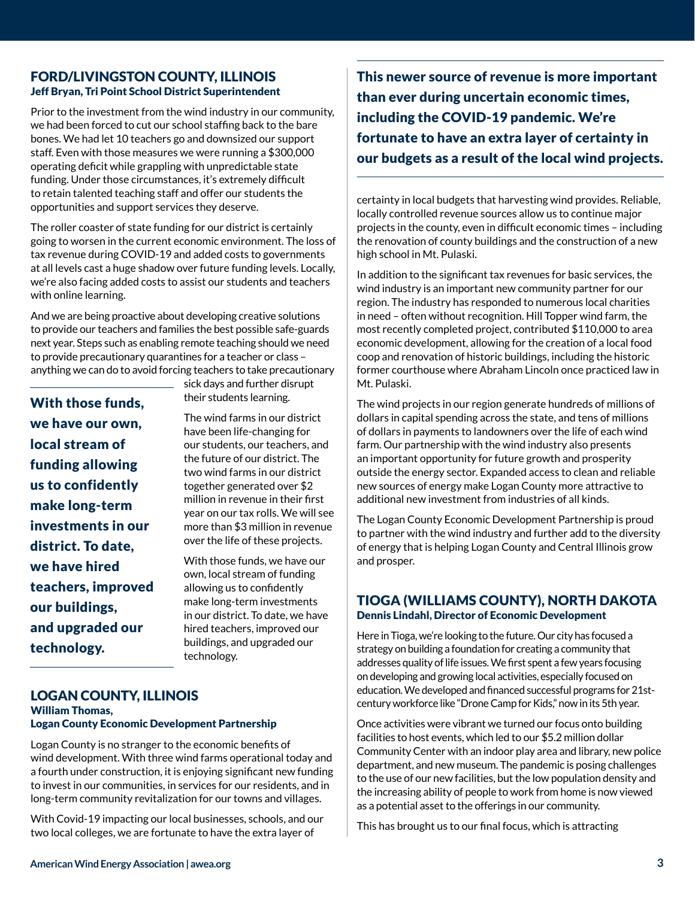#### FORD/LIVINGSTON COUNTY, ILLINOIS Jeff Bryan, Tri Point School District Superintendent

Prior to the investment from the wind industry in our community, we had been forced to cut our school staffing back to the bare bones. We had let 10 teachers go and downsized our support staff. Even with those measures we were running a \$300,000 operating deficit while grappling with unpredictable state funding. Under those circumstances, it's extremely difficult to retain talented teaching staff and offer our students the opportunities and support services they deserve.

The roller coaster of state funding for our district is certainly going to worsen in the current economic environment. The loss of tax revenue during COVID-19 and added costs to governments at all levels cast a huge shadow over future funding levels. Locally, we're also facing added costs to assist our students and teachers with online learning.

And we are being proactive about developing creative solutions to provide our teachers and families the best possible safe-guards next year. Steps such as enabling remote teaching should we need to provide precautionary quarantines for a teacher or class – anything we can do to avoid forcing teachers to take precautionary

With those funds, we have our own, local stream of funding allowing us to confidently make long-term investments in our district. To date, we have hired teachers, improved our buildings, and upgraded our technology.

sick days and further disrupt their students learning.

The wind farms in our district have been life-changing for our students, our teachers, and the future of our district. The two wind farms in our district together generated over \$2 million in revenue in their first year on our tax rolls. We will see more than \$3 million in revenue over the life of these projects.

With those funds, we have our own, local stream of funding allowing us to confidently make long-term investments in our district. To date, we have hired teachers, improved our buildings, and upgraded our technology.

#### LOGAN COUNTY, ILLINOIS William Thomas, Logan County Economic Development Partnership

Logan County is no stranger to the economic benefits of wind development. With three wind farms operational today and a fourth under construction, it is enjoying significant new funding to invest in our communities, in services for our residents, and in long-term community revitalization for our towns and villages.

With Covid-19 impacting our local businesses, schools, and our two local colleges, we are fortunate to have the extra layer of

This newer source of revenue is more important than ever during uncertain economic times, including the COVID-19 pandemic. We're fortunate to have an extra layer of certainty in our budgets as a result of the local wind projects.

certainty in local budgets that harvesting wind provides. Reliable, locally controlled revenue sources allow us to continue major projects in the county, even in difficult economic times – including the renovation of county buildings and the construction of a new high school in Mt. Pulaski.

In addition to the significant tax revenues for basic services, the wind industry is an important new community partner for our region. The industry has responded to numerous local charities in need – often without recognition. Hill Topper wind farm, the most recently completed project, contributed \$110,000 to area economic development, allowing for the creation of a local food coop and renovation of historic buildings, including the historic former courthouse where Abraham Lincoln once practiced law in Mt. Pulaski.

The wind projects in our region generate hundreds of millions of dollars in capital spending across the state, and tens of millions of dollars in payments to landowners over the life of each wind farm. Our partnership with the wind industry also presents an important opportunity for future growth and prosperity outside the energy sector. Expanded access to clean and reliable new sources of energy make Logan County more attractive to additional new investment from industries of all kinds.

The Logan County Economic Development Partnership is proud to partner with the wind industry and further add to the diversity of energy that is helping Logan County and Central Illinois grow and prosper.

#### TIOGA (WILLIAMS COUNTY), NORTH DAKOTA Dennis Lindahl, Director of Economic Development

Here in Tioga, we're looking to the future. Our city has focused a strategy on building a foundation for creating a community that addresses quality of life issues. We first spent a few years focusing on developing and growing local activities, especially focused on education. We developed and financed successful programs for 21stcentury workforce like "Drone Camp for Kids," now in its 5th year.

Once activities were vibrant we turned our focus onto building facilities to host events, which led to our \$5.2 million dollar Community Center with an indoor play area and library, new police department, and new museum. The pandemic is posing challenges to the use of our new facilities, but the low population density and the increasing ability of people to work from home is now viewed as a potential asset to the offerings in our community.

This has brought us to our final focus, which is attracting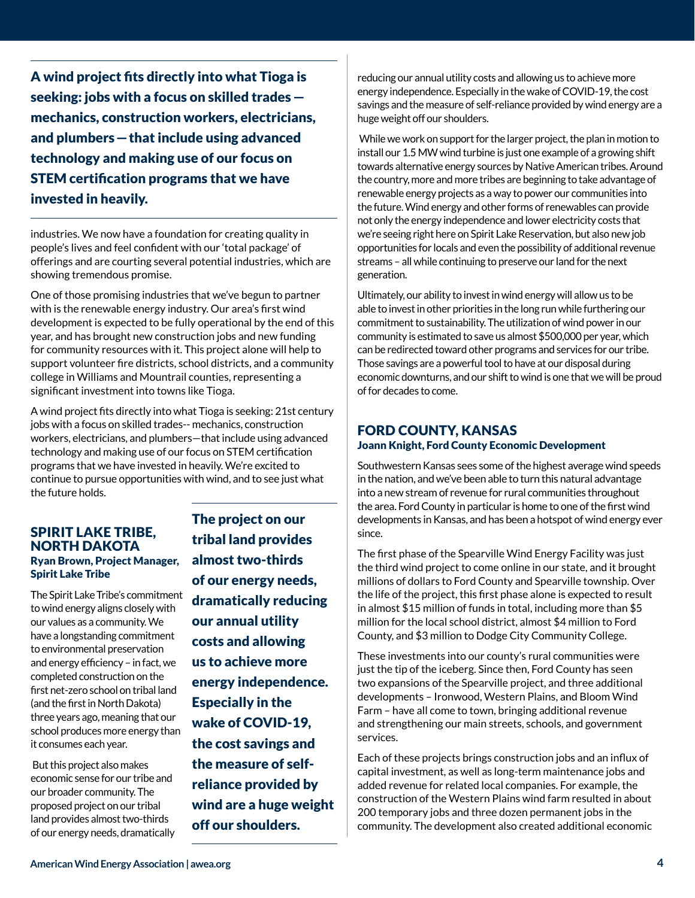A wind project fits directly into what Tioga is seeking: jobs with a focus on skilled trades mechanics, construction workers, electricians, and plumbers —that include using advanced technology and making use of our focus on STEM certification programs that we have invested in heavily.

industries. We now have a foundation for creating quality in people's lives and feel confident with our 'total package' of offerings and are courting several potential industries, which are showing tremendous promise.

One of those promising industries that we've begun to partner with is the renewable energy industry. Our area's first wind development is expected to be fully operational by the end of this year, and has brought new construction jobs and new funding for community resources with it. This project alone will help to support volunteer fire districts, school districts, and a community college in Williams and Mountrail counties, representing a significant investment into towns like Tioga.

A wind project fits directly into what Tioga is seeking: 21st century jobs with a focus on skilled trades-- mechanics, construction workers, electricians, and plumbers—that include using advanced technology and making use of our focus on STEM certification programs that we have invested in heavily. We're excited to continue to pursue opportunities with wind, and to see just what the future holds.

#### SPIRIT LAKE TRIBE, NORTH DAKOTA Ryan Brown, Project Manager, Spirit Lake Tribe

The Spirit Lake Tribe's commitment to wind energy aligns closely with our values as a community. We have a longstanding commitment to environmental preservation and energy efficiency – in fact, we completed construction on the first net-zero school on tribal land (and the first in North Dakota) three years ago, meaning that our school produces more energy than it consumes each year.

 But this project also makes economic sense for our tribe and our broader community. The proposed project on our tribal land provides almost two-thirds of our energy needs, dramatically The project on our tribal land provides almost two-thirds of our energy needs, dramatically reducing our annual utility costs and allowing us to achieve more energy independence. Especially in the wake of COVID-19, the cost savings and the measure of selfreliance provided by wind are a huge weight off our shoulders.

reducing our annual utility costs and allowing us to achieve more energy independence. Especially in the wake of COVID-19, the cost savings and the measure of self-reliance provided by wind energy are a huge weight off our shoulders.

 While we work on support for the larger project, the plan in motion to install our 1.5 MW wind turbine is just one example of a growing shift towards alternative energy sources by Native American tribes. Around the country, more and more tribes are beginning to take advantage of renewable energy projects as a way to power our communities into the future. Wind energy and other forms of renewables can provide not only the energy independence and lower electricity costs that we're seeing right here on Spirit Lake Reservation, but also new job opportunities for locals and even the possibility of additional revenue streams – all while continuing to preserve our land for the next generation.

Ultimately, our ability to invest in wind energy will allow us to be able to invest in other priorities in the long run while furthering our commitment to sustainability. The utilization of wind power in our community is estimated to save us almost \$500,000 per year, which can be redirected toward other programs and services for our tribe. Those savings are a powerful tool to have at our disposal during economic downturns, and our shift to wind is one that we will be proud of for decades to come.

### FORD COUNTY, KANSAS

#### Joann Knight, Ford County Economic Development

Southwestern Kansas sees some of the highest average wind speeds in the nation, and we've been able to turn this natural advantage into a new stream of revenue for rural communities throughout the area. Ford County in particular is home to one of the first wind developments in Kansas, and has been a hotspot of wind energy ever since.

The first phase of the Spearville Wind Energy Facility was just the third wind project to come online in our state, and it brought millions of dollars to Ford County and Spearville township. Over the life of the project, this first phase alone is expected to result in almost \$15 million of funds in total, including more than \$5 million for the local school district, almost \$4 million to Ford County, and \$3 million to Dodge City Community College.

These investments into our county's rural communities were just the tip of the iceberg. Since then, Ford County has seen two expansions of the Spearville project, and three additional developments – Ironwood, Western Plains, and Bloom Wind Farm – have all come to town, bringing additional revenue and strengthening our main streets, schools, and government services.

Each of these projects brings construction jobs and an influx of capital investment, as well as long-term maintenance jobs and added revenue for related local companies. For example, the construction of the Western Plains wind farm resulted in about 200 temporary jobs and three dozen permanent jobs in the community. The development also created additional economic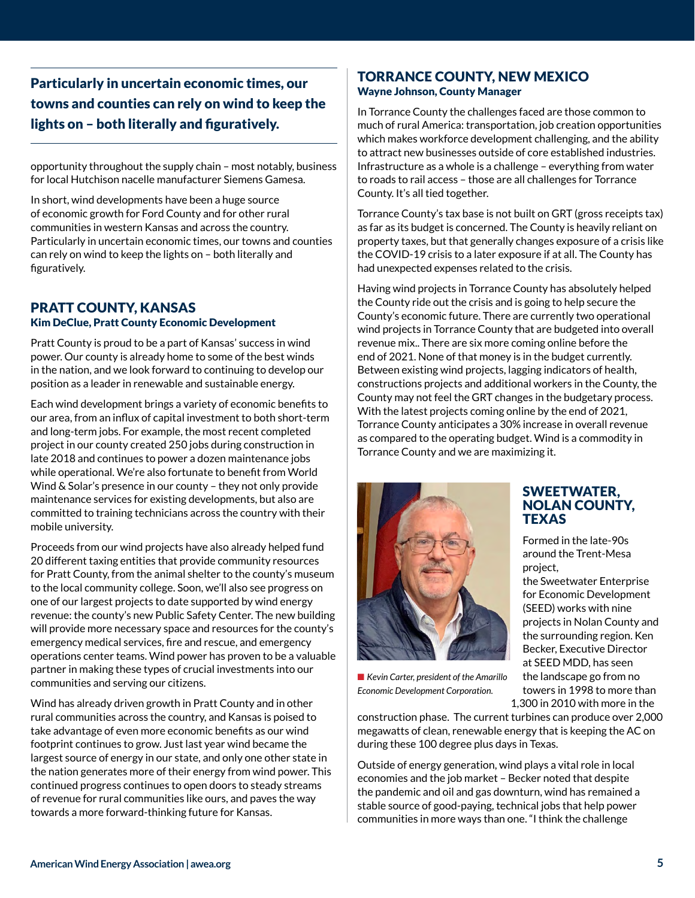Particularly in uncertain economic times, our towns and counties can rely on wind to keep the lights on – both literally and figuratively.

opportunity throughout the supply chain – most notably, business for local Hutchison nacelle manufacturer Siemens Gamesa.

In short, wind developments have been a huge source of economic growth for Ford County and for other rural communities in western Kansas and across the country. Particularly in uncertain economic times, our towns and counties can rely on wind to keep the lights on – both literally and figuratively.

#### PRATT COUNTY, KANSAS Kim DeClue, Pratt County Economic Development

Pratt County is proud to be a part of Kansas' success in wind power. Our county is already home to some of the best winds in the nation, and we look forward to continuing to develop our position as a leader in renewable and sustainable energy.

Each wind development brings a variety of economic benefits to our area, from an influx of capital investment to both short-term and long-term jobs. For example, the most recent completed project in our county created 250 jobs during construction in late 2018 and continues to power a dozen maintenance jobs while operational. We're also fortunate to benefit from World Wind & Solar's presence in our county – they not only provide maintenance services for existing developments, but also are committed to training technicians across the country with their mobile university.

Proceeds from our wind projects have also already helped fund 20 different taxing entities that provide community resources for Pratt County, from the animal shelter to the county's museum to the local community college. Soon, we'll also see progress on one of our largest projects to date supported by wind energy revenue: the county's new Public Safety Center. The new building will provide more necessary space and resources for the county's emergency medical services, fire and rescue, and emergency operations center teams. Wind power has proven to be a valuable partner in making these types of crucial investments into our communities and serving our citizens.

Wind has already driven growth in Pratt County and in other rural communities across the country, and Kansas is poised to take advantage of even more economic benefits as our wind footprint continues to grow. Just last year wind became the largest source of energy in our state, and only one other state in the nation generates more of their energy from wind power. This continued progress continues to open doors to steady streams of revenue for rural communities like ours, and paves the way towards a more forward-thinking future for Kansas.

#### TORRANCE COUNTY, NEW MEXICO Wayne Johnson, County Manager

In Torrance County the challenges faced are those common to much of rural America: transportation, job creation opportunities which makes workforce development challenging, and the ability to attract new businesses outside of core established industries. Infrastructure as a whole is a challenge – everything from water to roads to rail access – those are all challenges for Torrance County. It's all tied together.

Torrance County's tax base is not built on GRT (gross receipts tax) as far as its budget is concerned. The County is heavily reliant on property taxes, but that generally changes exposure of a crisis like the COVID-19 crisis to a later exposure if at all. The County has had unexpected expenses related to the crisis.

Having wind projects in Torrance County has absolutely helped the County ride out the crisis and is going to help secure the County's economic future. There are currently two operational wind projects in Torrance County that are budgeted into overall revenue mix.. There are six more coming online before the end of 2021. None of that money is in the budget currently. Between existing wind projects, lagging indicators of health, constructions projects and additional workers in the County, the County may not feel the GRT changes in the budgetary process. With the latest projects coming online by the end of 2021, Torrance County anticipates a 30% increase in overall revenue as compared to the operating budget. Wind is a commodity in Torrance County and we are maximizing it.

> SWEETWATER, NOLAN COUNTY,

Formed in the late-90s around the Trent-Mesa

the Sweetwater Enterprise for Economic Development (SEED) works with nine projects in Nolan County and the surrounding region. Ken Becker, Executive Director at SEED MDD, has seen the landscape go from no towers in 1998 to more than 1,300 in 2010 with more in the

**TEXAS** 

project,



■ Kevin Carter, president of the Amarillo *Economic Development Corporation.*

construction phase. The current turbines can produce over 2,000 megawatts of clean, renewable energy that is keeping the AC on during these 100 degree plus days in Texas.

Outside of energy generation, wind plays a vital role in local economies and the job market – Becker noted that despite the pandemic and oil and gas downturn, wind has remained a stable source of good-paying, technical jobs that help power communities in more ways than one. "I think the challenge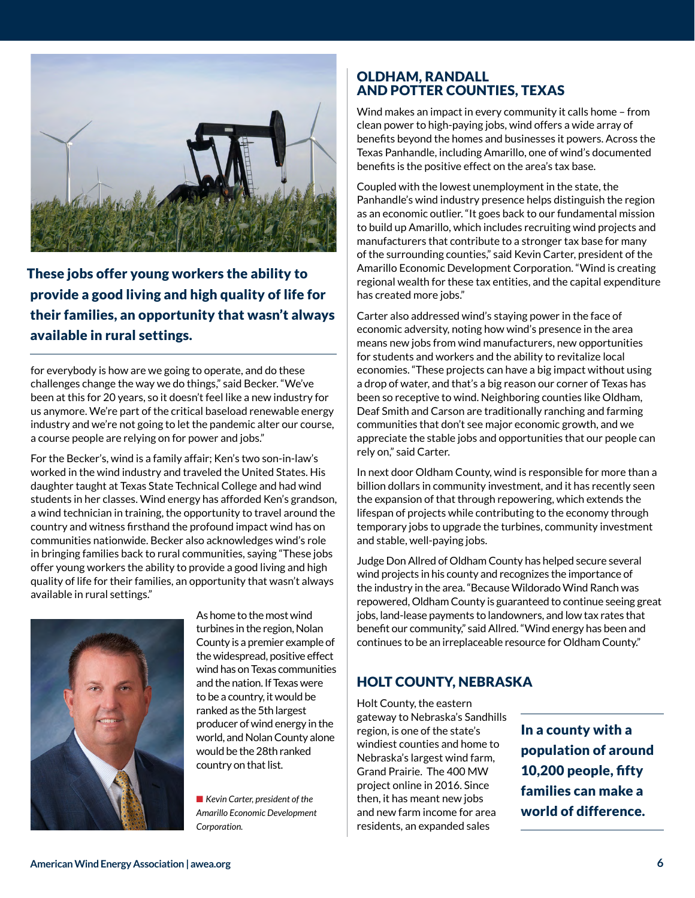

 These jobs offer young workers the ability to provide a good living and high quality of life for their families, an opportunity that wasn't always available in rural settings.

for everybody is how are we going to operate, and do these challenges change the way we do things," said Becker. "We've been at this for 20 years, so it doesn't feel like a new industry for us anymore. We're part of the critical baseload renewable energy industry and we're not going to let the pandemic alter our course, a course people are relying on for power and jobs."

For the Becker's, wind is a family affair; Ken's two son-in-law's worked in the wind industry and traveled the United States. His daughter taught at Texas State Technical College and had wind students in her classes. Wind energy has afforded Ken's grandson, a wind technician in training, the opportunity to travel around the country and witness firsthand the profound impact wind has on communities nationwide. Becker also acknowledges wind's role in bringing families back to rural communities, saying "These jobs offer young workers the ability to provide a good living and high quality of life for their families, an opportunity that wasn't always available in rural settings."



As home to the most wind turbines in the region, Nolan County is a premier example of the widespread, positive effect wind has on Texas communities and the nation. If Texas were to be a country, it would be ranked as the 5th largest producer of wind energy in the world, and Nolan County alone would be the 28th ranked country on that list.

■ *Kevin Carter, president of the Amarillo Economic Development Corporation.*

#### OLDHAM, RANDALL AND POTTER COUNTIES, TEXAS

Wind makes an impact in every community it calls home – from clean power to high-paying jobs, wind offers a wide array of benefits beyond the homes and businesses it powers. Across the Texas Panhandle, including Amarillo, one of wind's documented benefits is the positive effect on the area's tax base.

Coupled with the lowest unemployment in the state, the Panhandle's wind industry presence helps distinguish the region as an economic outlier. "It goes back to our fundamental mission to build up Amarillo, which includes recruiting wind projects and manufacturers that contribute to a stronger tax base for many of the surrounding counties," said Kevin Carter, president of the Amarillo Economic Development Corporation. "Wind is creating regional wealth for these tax entities, and the capital expenditure has created more jobs."

Carter also addressed wind's staying power in the face of economic adversity, noting how wind's presence in the area means new jobs from wind manufacturers, new opportunities for students and workers and the ability to revitalize local economies. "These projects can have a big impact without using a drop of water, and that's a big reason our corner of Texas has been so receptive to wind. Neighboring counties like Oldham, Deaf Smith and Carson are traditionally ranching and farming communities that don't see major economic growth, and we appreciate the stable jobs and opportunities that our people can rely on," said Carter.

In next door Oldham County, wind is responsible for more than a billion dollars in community investment, and it has recently seen the expansion of that through repowering, which extends the lifespan of projects while contributing to the economy through temporary jobs to upgrade the turbines, community investment and stable, well-paying jobs.

Judge Don Allred of Oldham County has helped secure several wind projects in his county and recognizes the importance of the industry in the area. "Because Wildorado Wind Ranch was repowered, Oldham County is guaranteed to continue seeing great jobs, land-lease payments to landowners, and low tax rates that benefit our community," said Allred. "Wind energy has been and continues to be an irreplaceable resource for Oldham County."

# HOLT COUNTY, NEBRASKA

Holt County, the eastern gateway to Nebraska's Sandhills region, is one of the state's windiest counties and home to Nebraska's largest wind farm, Grand Prairie. The 400 MW project online in 2016. Since then, it has meant new jobs and new farm income for area residents, an expanded sales

In a county with a population of around 10,200 people, fifty families can make a world of difference.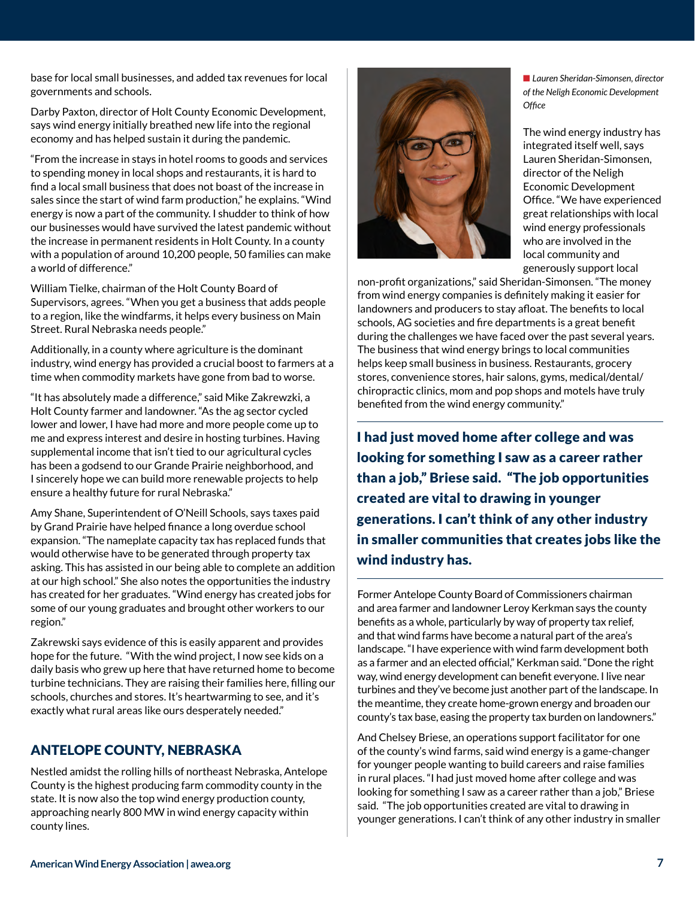base for local small businesses, and added tax revenues for local governments and schools.

Darby Paxton, director of Holt County Economic Development, says wind energy initially breathed new life into the regional economy and has helped sustain it during the pandemic.

"From the increase in stays in hotel rooms to goods and services to spending money in local shops and restaurants, it is hard to find a local small business that does not boast of the increase in sales since the start of wind farm production," he explains. "Wind energy is now a part of the community. I shudder to think of how our businesses would have survived the latest pandemic without the increase in permanent residents in Holt County. In a county with a population of around 10,200 people, 50 families can make a world of difference."

William Tielke, chairman of the Holt County Board of Supervisors, agrees. "When you get a business that adds people to a region, like the windfarms, it helps every business on Main Street. Rural Nebraska needs people."

Additionally, in a county where agriculture is the dominant industry, wind energy has provided a crucial boost to farmers at a time when commodity markets have gone from bad to worse.

"It has absolutely made a difference," said Mike Zakrewzki, a Holt County farmer and landowner. "As the ag sector cycled lower and lower, I have had more and more people come up to me and express interest and desire in hosting turbines. Having supplemental income that isn't tied to our agricultural cycles has been a godsend to our Grande Prairie neighborhood, and I sincerely hope we can build more renewable projects to help ensure a healthy future for rural Nebraska."

Amy Shane, Superintendent of O'Neill Schools, says taxes paid by Grand Prairie have helped finance a long overdue school expansion. "The nameplate capacity tax has replaced funds that would otherwise have to be generated through property tax asking. This has assisted in our being able to complete an addition at our high school." She also notes the opportunities the industry has created for her graduates. "Wind energy has created jobs for some of our young graduates and brought other workers to our region."

Zakrewski says evidence of this is easily apparent and provides hope for the future. "With the wind project, I now see kids on a daily basis who grew up here that have returned home to become turbine technicians. They are raising their families here, filling our schools, churches and stores. It's heartwarming to see, and it's exactly what rural areas like ours desperately needed."

# ANTELOPE COUNTY, NEBRASKA

Nestled amidst the rolling hills of northeast Nebraska, Antelope County is the highest producing farm commodity county in the state. It is now also the top wind energy production county, approaching nearly 800 MW in wind energy capacity within county lines.



■ Lauren Sheridan-Simonsen, director *of the Neligh Economic Development Office*

The wind energy industry has integrated itself well, says Lauren Sheridan-Simonsen, director of the Neligh Economic Development Office. "We have experienced great relationships with local wind energy professionals who are involved in the local community and generously support local

non-profit organizations," said Sheridan-Simonsen. "The money from wind energy companies is definitely making it easier for landowners and producers to stay afloat. The benefits to local schools, AG societies and fire departments is a great benefit during the challenges we have faced over the past several years. The business that wind energy brings to local communities helps keep small business in business. Restaurants, grocery stores, convenience stores, hair salons, gyms, medical/dental/ chiropractic clinics, mom and pop shops and motels have truly benefited from the wind energy community."

I had just moved home after college and was looking for something I saw as a career rather than a job," Briese said. "The job opportunities created are vital to drawing in younger generations. I can't think of any other industry in smaller communities that creates jobs like the wind industry has.

Former Antelope County Board of Commissioners chairman and area farmer and landowner Leroy Kerkman says the county benefits as a whole, particularly by way of property tax relief, and that wind farms have become a natural part of the area's landscape. "I have experience with wind farm development both as a farmer and an elected official," Kerkman said. "Done the right way, wind energy development can benefit everyone. I live near turbines and they've become just another part of the landscape. In the meantime, they create home-grown energy and broaden our county's tax base, easing the property tax burden on landowners."

And Chelsey Briese, an operations support facilitator for one of the county's wind farms, said wind energy is a game-changer for younger people wanting to build careers and raise families in rural places. "I had just moved home after college and was looking for something I saw as a career rather than a job," Briese said. "The job opportunities created are vital to drawing in younger generations. I can't think of any other industry in smaller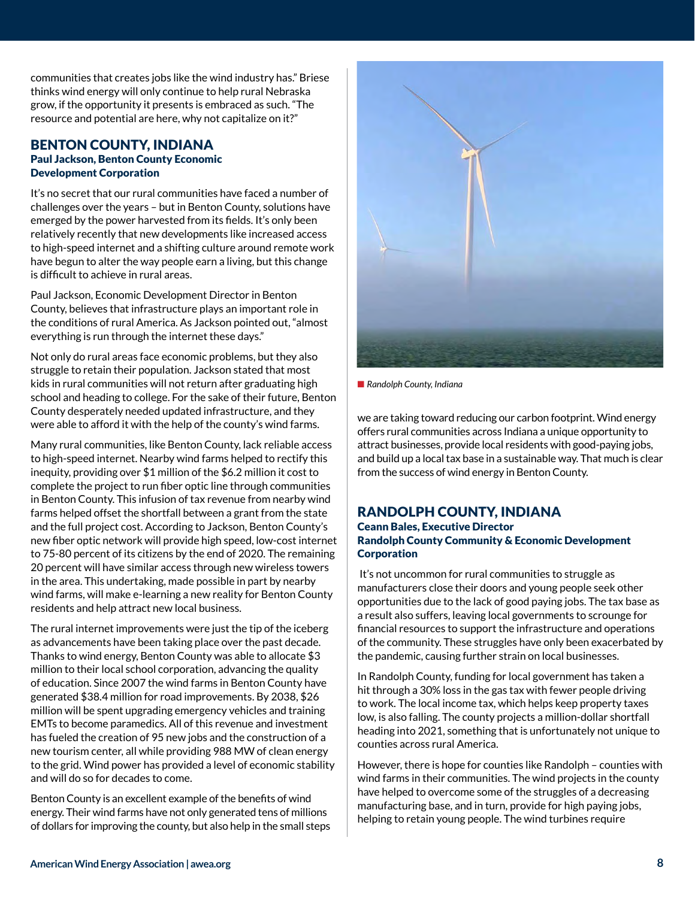communities that creates jobs like the wind industry has." Briese thinks wind energy will only continue to help rural Nebraska grow, if the opportunity it presents is embraced as such. "The resource and potential are here, why not capitalize on it?"

#### BENTON COUNTY, INDIANA Paul Jackson, Benton County Economic Development Corporation

It's no secret that our rural communities have faced a number of challenges over the years – but in Benton County, solutions have emerged by the power harvested from its fields. It's only been relatively recently that new developments like increased access to high-speed internet and a shifting culture around remote work have begun to alter the way people earn a living, but this change is difficult to achieve in rural areas.

Paul Jackson, Economic Development Director in Benton County, believes that infrastructure plays an important role in the conditions of rural America. As Jackson pointed out, "almost everything is run through the internet these days."

Not only do rural areas face economic problems, but they also struggle to retain their population. Jackson stated that most kids in rural communities will not return after graduating high school and heading to college. For the sake of their future, Benton County desperately needed updated infrastructure, and they were able to afford it with the help of the county's wind farms.

Many rural communities, like Benton County, lack reliable access to high-speed internet. Nearby wind farms helped to rectify this inequity, providing over \$1 million of the \$6.2 million it cost to complete the project to run fiber optic line through communities in Benton County. This infusion of tax revenue from nearby wind farms helped offset the shortfall between a grant from the state and the full project cost. According to Jackson, Benton County's new fiber optic network will provide high speed, low-cost internet to 75-80 percent of its citizens by the end of 2020. The remaining 20 percent will have similar access through new wireless towers in the area. This undertaking, made possible in part by nearby wind farms, will make e-learning a new reality for Benton County residents and help attract new local business.

The rural internet improvements were just the tip of the iceberg as advancements have been taking place over the past decade. Thanks to wind energy, Benton County was able to allocate \$3 million to their local school corporation, advancing the quality of education. Since 2007 the wind farms in Benton County have generated \$38.4 million for road improvements. By 2038, \$26 million will be spent upgrading emergency vehicles and training EMTs to become paramedics. All of this revenue and investment has fueled the creation of 95 new jobs and the construction of a new tourism center, all while providing 988 MW of clean energy to the grid. Wind power has provided a level of economic stability and will do so for decades to come.

Benton County is an excellent example of the benefits of wind energy. Their wind farms have not only generated tens of millions of dollars for improving the county, but also help in the small steps



**n** Randolph County, Indiana

we are taking toward reducing our carbon footprint. Wind energy offers rural communities across Indiana a unique opportunity to attract businesses, provide local residents with good-paying jobs, and build up a local tax base in a sustainable way. That much is clear from the success of wind energy in Benton County.

# RANDOLPH COUNTY, INDIANA

#### Ceann Bales, Executive Director Randolph County Community & Economic Development **Corporation**

 It's not uncommon for rural communities to struggle as manufacturers close their doors and young people seek other opportunities due to the lack of good paying jobs. The tax base as a result also suffers, leaving local governments to scrounge for financial resources to support the infrastructure and operations of the community. These struggles have only been exacerbated by the pandemic, causing further strain on local businesses.

In Randolph County, funding for local government has taken a hit through a 30% loss in the gas tax with fewer people driving to work. The local income tax, which helps keep property taxes low, is also falling. The county projects a million-dollar shortfall heading into 2021, something that is unfortunately not unique to counties across rural America.

However, there is hope for counties like Randolph – counties with wind farms in their communities. The wind projects in the county have helped to overcome some of the struggles of a decreasing manufacturing base, and in turn, provide for high paying jobs, helping to retain young people. The wind turbines require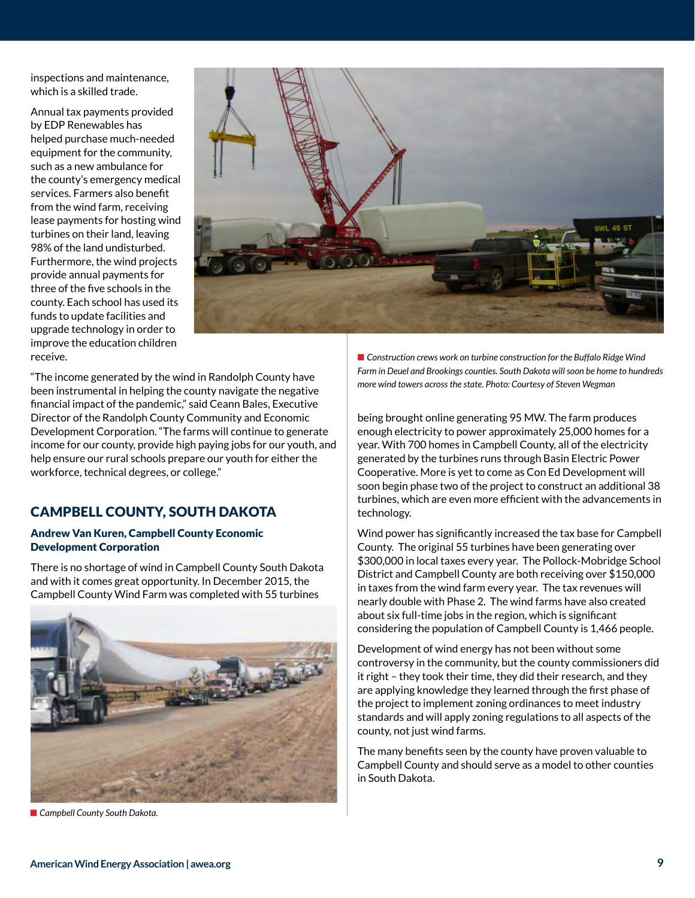inspections and maintenance, which is a skilled trade.

Annual tax payments provided by EDP Renewables has helped purchase much-needed equipment for the community, such as a new ambulance for the county's emergency medical services. Farmers also benefit from the wind farm, receiving lease payments for hosting wind turbines on their land, leaving 98% of the land undisturbed. Furthermore, the wind projects provide annual payments for three of the five schools in the county. Each school has used its funds to update facilities and upgrade technology in order to improve the education children receive.



"The income generated by the wind in Randolph County have been instrumental in helping the county navigate the negative financial impact of the pandemic," said Ceann Bales, Executive Director of the Randolph County Community and Economic Development Corporation. "The farms will continue to generate income for our county, provide high paying jobs for our youth, and help ensure our rural schools prepare our youth for either the workforce, technical degrees, or college."

# CAMPBELL COUNTY, SOUTH DAKOTA

#### Andrew Van Kuren, Campbell County Economic Development Corporation

There is no shortage of wind in Campbell County South Dakota and with it comes great opportunity. In December 2015, the Campbell County Wind Farm was completed with 55 turbines



■ Campbell County South Dakota.

■ Construction crews work on turbine construction for the Buffalo Ridge Wind *Farm in Deuel and Brookings counties. South Dakota will soon be home to hundreds more wind towers across the state. Photo: Courtesy of Steven Wegman*

being brought online generating 95 MW. The farm produces enough electricity to power approximately 25,000 homes for a year. With 700 homes in Campbell County, all of the electricity generated by the turbines runs through Basin Electric Power Cooperative. More is yet to come as Con Ed Development will soon begin phase two of the project to construct an additional 38 turbines, which are even more efficient with the advancements in technology.

Wind power has significantly increased the tax base for Campbell County. The original 55 turbines have been generating over \$300,000 in local taxes every year. The Pollock-Mobridge School District and Campbell County are both receiving over \$150,000 in taxes from the wind farm every year. The tax revenues will nearly double with Phase 2. The wind farms have also created about six full-time jobs in the region, which is significant considering the population of Campbell County is 1,466 people.

Development of wind energy has not been without some controversy in the community, but the county commissioners did it right – they took their time, they did their research, and they are applying knowledge they learned through the first phase of the project to implement zoning ordinances to meet industry standards and will apply zoning regulations to all aspects of the county, not just wind farms.

The many benefits seen by the county have proven valuable to Campbell County and should serve as a model to other counties in South Dakota.